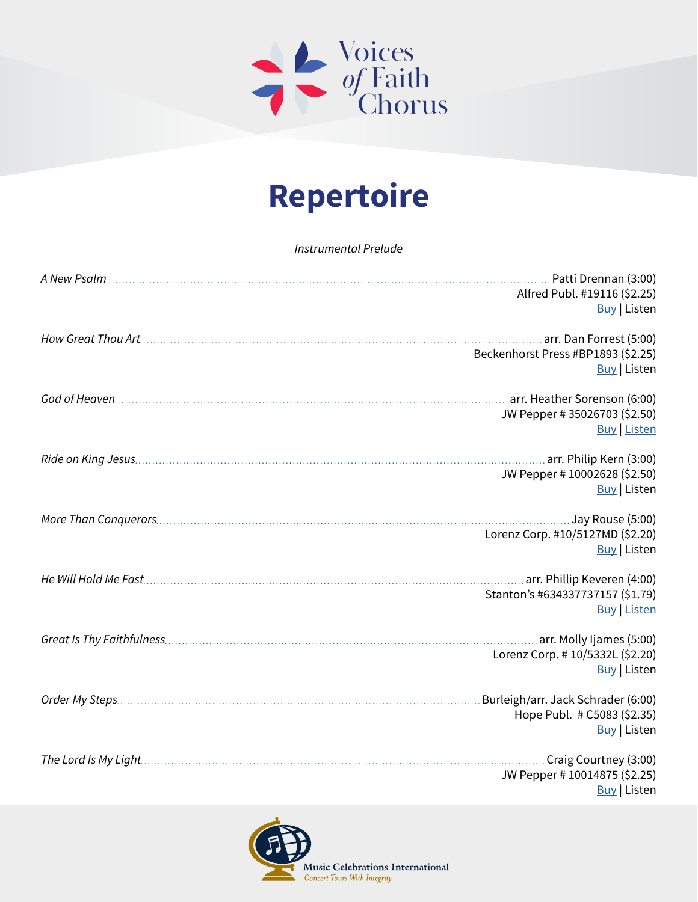

## **Repertoire**

*Instrumental Prelude*

|  | Alfred Publ. #19116 (\$2.25)                                      |
|--|-------------------------------------------------------------------|
|  | <b>Buy</b> Listen                                                 |
|  |                                                                   |
|  | Beckenhorst Press #BP1893 (\$2.25)                                |
|  | <b>Buy Listen</b>                                                 |
|  |                                                                   |
|  |                                                                   |
|  | JW Pepper # 35026703 (\$2.50)                                     |
|  | <b>Buy Listen</b>                                                 |
|  |                                                                   |
|  | JW Pepper # 10002628 (\$2.50)                                     |
|  | <b>Buy</b> Listen                                                 |
|  |                                                                   |
|  | Jay Rouse (5:00)                                                  |
|  | Lorenz Corp. #10/5127MD (\$2.20)<br><b>Buy</b> Listen             |
|  |                                                                   |
|  |                                                                   |
|  | Stanton's #634337737157 (\$1.79)                                  |
|  | <b>Buy Listen</b>                                                 |
|  |                                                                   |
|  | Lorenz Corp. # 10/5332L (\$2.20)                                  |
|  | <b>Buy</b> Listen                                                 |
|  |                                                                   |
|  | Burleigh/arr. Jack Schrader (6:00)<br>Hope Publ. # C5083 (\$2.35) |
|  | <b>Buy</b> Listen                                                 |
|  |                                                                   |
|  | Craig Courtney (3:00)                                             |
|  | JW Pepper # 10014875 (\$2.25)                                     |
|  | <b>Buy</b> Listen                                                 |